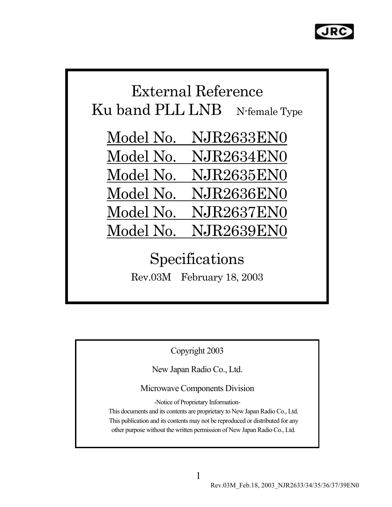

# External Reference Ku band PLL LNB N-female Type

Model No. NJR2633EN0 Model No. NJR2634EN0 Model No. NJR2635EN0 Model No. NJR2636EN0 Model No. NJR2637EN0 Model No. NJR2639EN0

> Specifications Rev.03M February 18, 2003

> > Copyright 2003

New Japan Radio Co., Ltd.

Microwave Components Division

-Notice of Proprietary Information-

This documents and its contents are proprietary to New Japan Radio Co., Ltd. This publication and its contents may not be reproduced or distributed for any other purpose without the written permission of New Japan Radio Co., Ltd.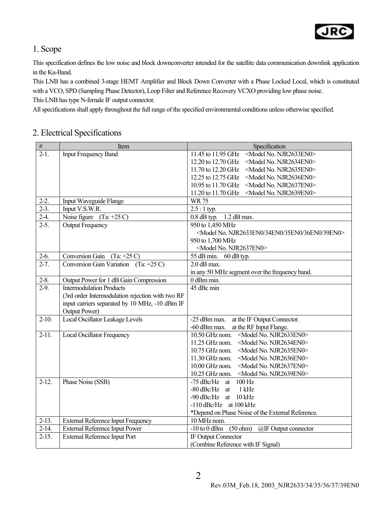

#### 1. Scope

This specification defines the low noise and block downconverter intended for the satellite data communication downlink application in the Ku-Band.

This LNB has a combined 3-stage HEMT Amplifier and Block Down Converter with a Phase Locked Local, which is constituted with a VCO, SPD (Sampling Phase Detector), Loop Filter and Reference Recovery VCXO providing low phase noise. This LNB has type N-female IF output connector.

All specifications shall apply throughout the full range of the specified environmental conditions unless otherwise specified.

#### 2. Electrical Specifications

| $\overline{\#}$    | Item                                             | Specification                                                            |
|--------------------|--------------------------------------------------|--------------------------------------------------------------------------|
| $2-1$ .            | <b>Input Frequency Band</b>                      | <model njr2633en0="" no.=""><br/>11.45 to 11.95 GHz</model>              |
|                    |                                                  | 12.20 to 12.70 GHz<br><model njr2634en0="" no.=""></model>               |
|                    |                                                  | 11.70 to 12.20 GHz<br><model njr2635en0="" no.=""></model>               |
|                    |                                                  | 12.25 to 12.75 GHz<br><model njr2636en0="" no.=""></model>               |
|                    |                                                  | 10.95 to 11.70 GHz<br><model njr2637en0="" no.=""></model>               |
|                    |                                                  | 11.20 to 11.70 GHz<br><model njr2639en0="" no.=""></model>               |
| $2-2.$             | <b>Input Waveguide Flange</b>                    | <b>WR75</b>                                                              |
| $2-3.$             | Input V.S.W.R.                                   | $2.5:1$ typ.                                                             |
| $2-4.$             | Noise figure $(Ta: +25 C)$                       | $0.8$ dB typ. $\overline{1.2}$ dB max.                                   |
| $2-5.$             | <b>Output Frequency</b>                          | 950 to 1,450 MHz                                                         |
|                    |                                                  | <model 34en0="" 35en0="" 36en0="" 39en0="" njr2633en0="" no.=""></model> |
|                    |                                                  | 950 to 1,700 MHz                                                         |
|                    |                                                  | <model njr2637en0="" no.=""></model>                                     |
| $2-6.$             | Conversion Gain<br>$(Ta: +25 C)$                 | 55 dB min.<br>60 dB typ.                                                 |
| $2 - 7.$           | Conversion Gain Variation (Ta: $+25$ C)          | $2.0$ dB max.                                                            |
|                    |                                                  | in any 50 MHz segment over the frequency band.                           |
| $2 - 8$ .          | Output Power for 1 dB Gain Compression           | 0 dBm min.                                                               |
| $\overline{2-9}$ . | <b>Intermodulation Products</b>                  | 45 dBc min                                                               |
|                    | (3rd order Intermodulation rejection with two RF |                                                                          |
|                    | input carriers separated by 10 MHz, -10 dBm IF   |                                                                          |
|                    | Output Power)                                    |                                                                          |
| $2-10.$            | Local Oscillator Leakage Levels                  | -25 dBm max. at the IF Output Connector.                                 |
|                    |                                                  | -60 dBm max. at the RF Input Flange.                                     |
| $2 - 11.$          | <b>Local Oscillator Frequency</b>                | <model njr2633en0="" no.=""><br/>10.50 GHz nom.</model>                  |
|                    |                                                  | 11.25 GHz nom.<br><model njr2634en0="" no.=""></model>                   |
|                    |                                                  | 10.75 GHz nom.<br><model njr2635en0="" no.=""></model>                   |
|                    |                                                  | 11.30 GHz nom.<br><model njr2636en0="" no.=""></model>                   |
|                    |                                                  | 10.00 GHz nom.<br><model njr2637en0="" no.=""></model>                   |
|                    |                                                  | 10.25 GHz nom.<br><model njr2639en0="" no.=""></model>                   |
| $2-12.$            | Phase Noise (SSB)                                | $-75$ dBc/Hz at<br>100 Hz                                                |
|                    |                                                  | $-80$ dBc/Hz at<br>1 kHz                                                 |
|                    |                                                  | -90 dBc/Hz at 10 kHz                                                     |
|                    |                                                  | $-110$ dBc/Hz at $100$ kHz                                               |
|                    |                                                  | *Depend on Phase Noise of the External Reference.                        |
| $2-13.$            | <b>External Reference Input Frequency</b>        | 10 MHz nom.                                                              |
| $2-14.$            | <b>External Reference Input Power</b>            | $-10$ to $0$ dBm<br>(50 ohm)<br>@IF Output connector                     |
| $2-15.$            | <b>External Reference Input Port</b>             | IF Output Connector                                                      |
|                    |                                                  | (Combine Reference with IF Signal)                                       |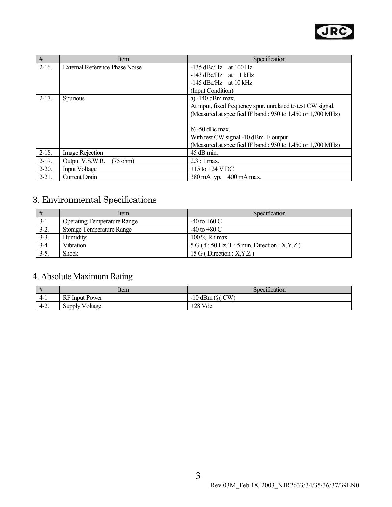

| #          | Item                                  | Specification                                                |
|------------|---------------------------------------|--------------------------------------------------------------|
| $2-16.$    | <b>External Reference Phase Noise</b> | $-135$ dBc/Hz at 100 Hz                                      |
|            |                                       | $-143$ dBc/Hz at 1 kHz                                       |
|            |                                       | $-145$ dBc/Hz at $10$ kHz                                    |
|            |                                       | (Input Condition)                                            |
| $2-17.$    | <b>Spurious</b>                       | a) -140 dBm max.                                             |
|            |                                       | At input, fixed frequency spur, unrelated to test CW signal. |
|            |                                       | (Measured at specified IF band; 950 to 1,450 or 1,700 MHz)   |
|            |                                       |                                                              |
|            |                                       | $b) -50$ dBc max.                                            |
|            |                                       | With test CW signal -10 dBm IF output                        |
|            |                                       | (Measured at specified IF band; 950 to 1,450 or 1,700 MHz)   |
| $2-18.$    | Image Rejection                       | 45 dB min.                                                   |
| $2-19.$    | Output V.S.W.R.<br>$(75 \text{ ohm})$ | $2.3:1$ max.                                                 |
| $2-20.$    | <b>Input Voltage</b>                  | $+15$ to $+24$ V DC                                          |
| $2 - 21$ . | <b>Current Drain</b>                  | $380 \text{ mA}$ typ.<br>400 mA max.                         |

## 3. Environmental Specifications

| #      | <b>Item</b>                        | Specification                                  |
|--------|------------------------------------|------------------------------------------------|
| $3-1.$ | <b>Operating Temperature Range</b> | $-40$ to $+60$ C                               |
| $3-2.$ | <b>Storage Temperature Range</b>   | $-40$ to $+80$ C                               |
| $3-3.$ | Humidity                           | $100\%$ Rh max.                                |
| $3-4.$ | <b>Vibration</b>                   | $5 G$ (f: 50 Hz, T: 5 min. Direction: X, Y, Z) |
| $3-5.$ | Shock                              | 15 G (Direction : $X, Y, Z$ )                  |

### 4. Absolute Maximum Rating

| #      | ltem                  | $\cdot$ $\sim$<br>Specification |
|--------|-----------------------|---------------------------------|
| $4-1$  | <b>RF</b> Input Power | $-10$ dBm $(a)$<br>CW           |
| $4-2.$ | <b>Supply Voltage</b> | $+28$ Vdc                       |